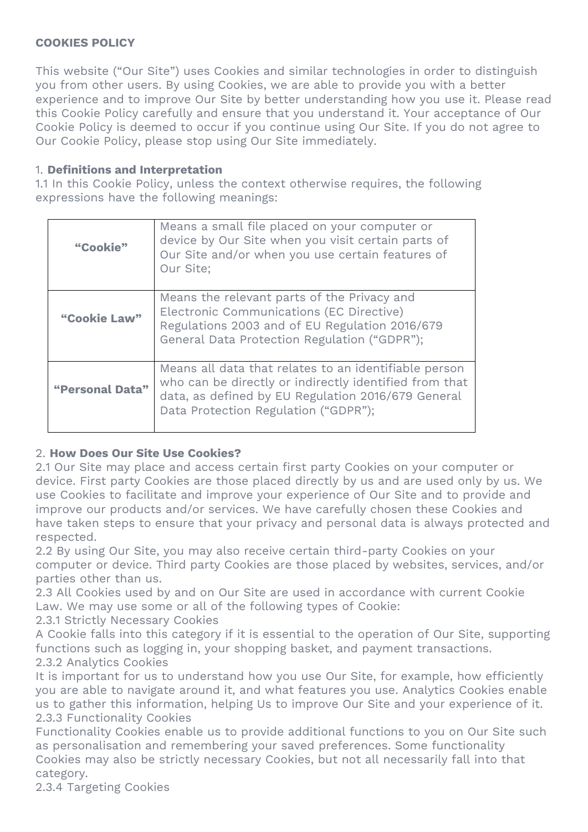#### **COOKIES POLICY**

This website ("Our Site") uses Cookies and similar technologies in order to distinguish you from other users. By using Cookies, we are able to provide you with a better experience and to improve Our Site by better understanding how you use it. Please read this Cookie Policy carefully and ensure that you understand it. Your acceptance of Our Cookie Policy is deemed to occur if you continue using Our Site. If you do not agree to Our Cookie Policy, please stop using Our Site immediately.

#### 1. **Definitions and Interpretation**

1.1 In this Cookie Policy, unless the context otherwise requires, the following expressions have the following meanings:

| "Cookie"        | Means a small file placed on your computer or<br>device by Our Site when you visit certain parts of<br>Our Site and/or when you use certain features of<br>Our Site:                                          |
|-----------------|---------------------------------------------------------------------------------------------------------------------------------------------------------------------------------------------------------------|
| "Cookie Law"    | Means the relevant parts of the Privacy and<br>Electronic Communications (EC Directive)<br>Regulations 2003 and of EU Regulation 2016/679<br>General Data Protection Regulation ("GDPR");                     |
| "Personal Data" | Means all data that relates to an identifiable person<br>who can be directly or indirectly identified from that<br>data, as defined by EU Regulation 2016/679 General<br>Data Protection Regulation ("GDPR"); |

## 2. **How Does Our Site Use Cookies?**

2.1 Our Site may place and access certain first party Cookies on your computer or device. First party Cookies are those placed directly by us and are used only by us. We use Cookies to facilitate and improve your experience of Our Site and to provide and improve our products and/or services. We have carefully chosen these Cookies and have taken steps to ensure that your privacy and personal data is always protected and respected.

2.2 By using Our Site, you may also receive certain third-party Cookies on your computer or device. Third party Cookies are those placed by websites, services, and/or parties other than us.

2.3 All Cookies used by and on Our Site are used in accordance with current Cookie Law. We may use some or all of the following types of Cookie:

2.3.1 Strictly Necessary Cookies

A Cookie falls into this category if it is essential to the operation of Our Site, supporting functions such as logging in, your shopping basket, and payment transactions. 2.3.2 Analytics Cookies

It is important for us to understand how you use Our Site, for example, how efficiently you are able to navigate around it, and what features you use. Analytics Cookies enable us to gather this information, helping Us to improve Our Site and your experience of it. 2.3.3 Functionality Cookies

Functionality Cookies enable us to provide additional functions to you on Our Site such as personalisation and remembering your saved preferences. Some functionality Cookies may also be strictly necessary Cookies, but not all necessarily fall into that category.

2.3.4 Targeting Cookies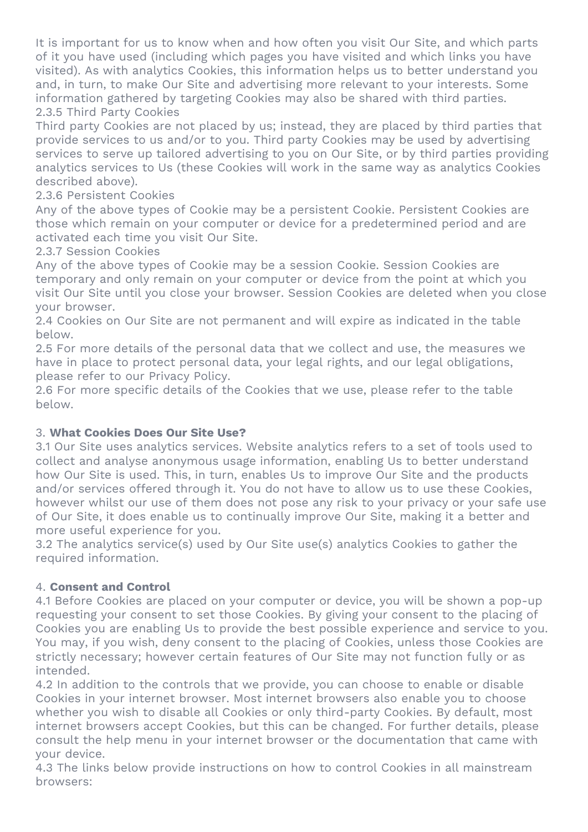It is important for us to know when and how often you visit Our Site, and which parts of it you have used (including which pages you have visited and which links you have visited). As with analytics Cookies, this information helps us to better understand you and, in turn, to make Our Site and advertising more relevant to your interests. Some information gathered by targeting Cookies may also be shared with third parties. 2.3.5 Third Party Cookies

Third party Cookies are not placed by us; instead, they are placed by third parties that provide services to us and/or to you. Third party Cookies may be used by advertising services to serve up tailored advertising to you on Our Site, or by third parties providing analytics services to Us (these Cookies will work in the same way as analytics Cookies described above).

## 2.3.6 Persistent Cookies

Any of the above types of Cookie may be a persistent Cookie. Persistent Cookies are those which remain on your computer or device for a predetermined period and are activated each time you visit Our Site.

## 2.3.7 Session Cookies

Any of the above types of Cookie may be a session Cookie. Session Cookies are temporary and only remain on your computer or device from the point at which you visit Our Site until you close your browser. Session Cookies are deleted when you close your browser.

2.4 Cookies on Our Site are not permanent and will expire as indicated in the table below.

2.5 For more details of the personal data that we collect and use, the measures we have in place to protect personal data, your legal rights, and our legal obligations, please refer to our Privacy Policy.

2.6 For more specific details of the Cookies that we use, please refer to the table below.

## 3. **What Cookies Does Our Site Use?**

3.1 Our Site uses analytics services. Website analytics refers to a set of tools used to collect and analyse anonymous usage information, enabling Us to better understand how Our Site is used. This, in turn, enables Us to improve Our Site and the products and/or services offered through it. You do not have to allow us to use these Cookies, however whilst our use of them does not pose any risk to your privacy or your safe use of Our Site, it does enable us to continually improve Our Site, making it a better and more useful experience for you.

3.2 The analytics service(s) used by Our Site use(s) analytics Cookies to gather the required information.

## 4. **Consent and Control**

4.1 Before Cookies are placed on your computer or device, you will be shown a pop-up requesting your consent to set those Cookies. By giving your consent to the placing of Cookies you are enabling Us to provide the best possible experience and service to you. You may, if you wish, deny consent to the placing of Cookies, unless those Cookies are strictly necessary; however certain features of Our Site may not function fully or as intended.

4.2 In addition to the controls that we provide, you can choose to enable or disable Cookies in your internet browser. Most internet browsers also enable you to choose whether you wish to disable all Cookies or only third-party Cookies. By default, most internet browsers accept Cookies, but this can be changed. For further details, please consult the help menu in your internet browser or the documentation that came with your device.

4.3 The links below provide instructions on how to control Cookies in all mainstream browsers: